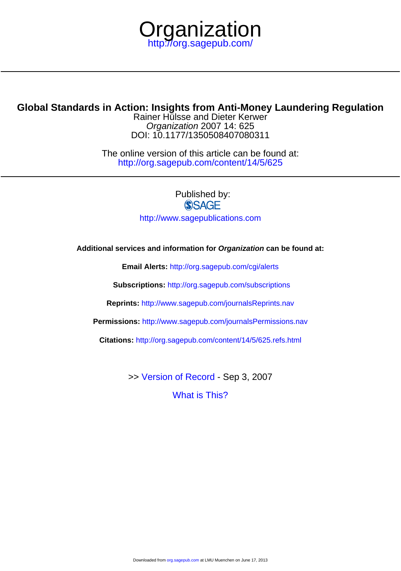

# **Global Standards in Action: Insights from Anti-Money Laundering Regulation**

DOI: 10.1177/1350508407080311 Organization 2007 14: 625 Rainer Hülsse and Dieter Kerwer

<http://org.sagepub.com/content/14/5/625> The online version of this article can be found at:

Published by:<br>
SAGE

<http://www.sagepublications.com>

**Additional services and information for Organization can be found at:**

**Email Alerts:** <http://org.sagepub.com/cgi/alerts>

**Subscriptions:** <http://org.sagepub.com/subscriptions>

**Reprints:** <http://www.sagepub.com/journalsReprints.nav>

**Permissions:** <http://www.sagepub.com/journalsPermissions.nav>

**Citations:** <http://org.sagepub.com/content/14/5/625.refs.html>

>> [Version of Record -](http://org.sagepub.com/content/14/5/625.full.pdf) Sep 3, 2007

[What is This?](http://online.sagepub.com/site/sphelp/vorhelp.xhtml)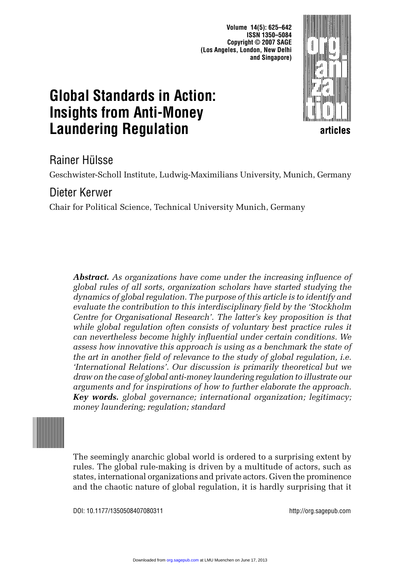**Volume 14(5): 625–642 ISSN 1350–5084 Copyright © 2007 SAGE (Los Angeles, London, New Delhi and Singapore)**

# **Global Standards in Action: Insights from Anti-Money Laundering Regulation**



# Rainer Hülsse

Geschwister-Scholl Institute, Ludwig-Maximilians University, Munich, Germany

# Dieter Kerwer

Chair for Political Science, Technical University Munich, Germany

*Abstract.* As organizations have come under the increasing influence of *global rules of all sorts, organization scholars have started studying the dynamics of global regulation. The purpose of this article is to identify and evaluate the contribution to this interdisciplinary field by the 'Stockholm Centre for Organisational Research'. The latter's key proposition is that while global regulation often consists of voluntary best practice rules it can nevertheless become highly infl uential under certain conditions. We assess how innovative this approach is using as a benchmark the state of the art in another field of relevance to the study of global regulation, i.e. 'International Relations'. Our discussion is primarily theoretical but we draw on the case of global anti-money laundering regulation to illustrate our arguments and for inspirations of how to further elaborate the approach. Key words. global governance; international organization; legitimacy; money laundering; regulation; standard*



The seemingly anarchic global world is ordered to a surprising extent by rules. The global rule-making is driven by a multitude of actors, such as states, international organizations and private actors. Given the prominence and the chaotic nature of global regulation, it is hardly surprising that it

DOI: 10.1177/1350508407080311 http://org.sagepub.com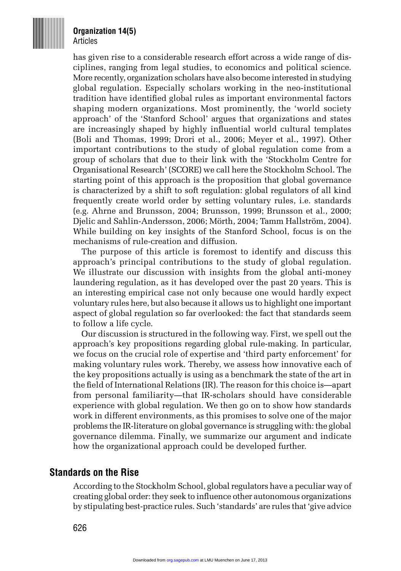

has given rise to a considerable research effort across a wide range of disciplines, ranging from legal studies, to economics and political science. More recently, organization scholars have also become interested in studying global regulation. Especially scholars working in the neo-institutional tradition have identified global rules as important environmental factors shaping modern organizations. Most prominently, the 'world society approach' of the 'Stanford School' argues that organizations and states are increasingly shaped by highly influential world cultural templates (Boli and Thomas, 1999; Drori et al., 2006; Meyer et al., 1997). Other important contributions to the study of global regulation come from a group of scholars that due to their link with the 'Stockholm Centre for Organisational Research' (SCORE) we call here the Stockholm School. The starting point of this approach is the proposition that global governance is characterized by a shift to soft regulation: global regulators of all kind frequently create world order by setting voluntary rules, i.e. standards (e.g. Ahrne and Brunsson, 2004; Brunsson, 1999; Brunsson et al., 2000; Djelic and Sahlin-Andersson, 2006; Mörth, 2004; Tamm Hallström, 2004). While building on key insights of the Stanford School, focus is on the mechanisms of rule-creation and diffusion.

The purpose of this article is foremost to identify and discuss this approach's principal contributions to the study of global regulation. We illustrate our discussion with insights from the global anti-money laundering regulation, as it has developed over the past 20 years. This is an interesting empirical case not only because one would hardly expect voluntary rules here, but also because it allows us to highlight one important aspect of global regulation so far overlooked: the fact that standards seem to follow a life cycle.

Our discussion is structured in the following way. First, we spell out the approach's key propositions regarding global rule-making. In particular, we focus on the crucial role of expertise and 'third party enforcement' for making voluntary rules work. Thereby, we assess how innovative each of the key propositions actually is using as a benchmark the state of the art in the field of International Relations (IR). The reason for this choice is—apart from personal familiarity—that IR-scholars should have considerable experience with global regulation. We then go on to show how standards work in different environments, as this promises to solve one of the major problems the IR-literature on global governance is struggling with: the global governance dilemma. Finally, we summarize our argument and indicate how the organizational approach could be developed further.

# **Standards on the Rise**

According to the Stockholm School, global regulators have a peculiar way of creating global order: they seek to influence other autonomous organizations by stipulating best-practice rules. Such 'standards' are rules that 'give advice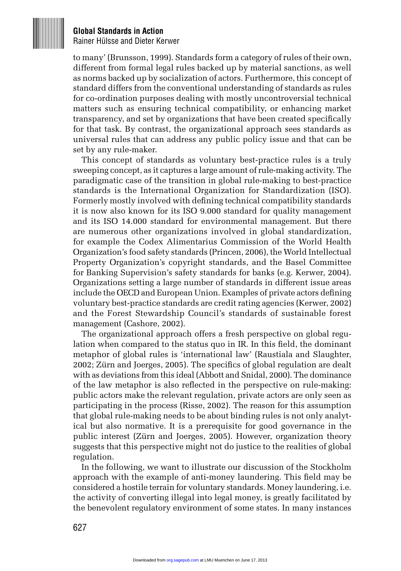

Rainer Hülsse and Dieter Kerwer

to many' (Brunsson, 1999). Standards form a category of rules of their own, different from formal legal rules backed up by material sanctions, as well as norms backed up by socialization of actors. Furthermore, this concept of standard differs from the conventional understanding of standards as rules for co-ordination purposes dealing with mostly uncontroversial technical matters such as ensuring technical compatibility, or enhancing market transparency, and set by organizations that have been created specifically for that task. By contrast, the organizational approach sees standards as universal rules that can address any public policy issue and that can be set by any rule-maker.

This concept of standards as voluntary best-practice rules is a truly sweeping concept, as it captures a large amount of rule-making activity. The paradigmatic case of the transition in global rule-making to best-practice standards is the International Organization for Standardization (ISO). Formerly mostly involved with defining technical compatibility standards it is now also known for its ISO 9.000 standard for quality management and its ISO 14.000 standard for environmental management. But there are numerous other organizations involved in global standardization, for example the Codex Alimentarius Commission of the World Health Organization's food safety standards (Princen, 2006), the World Intellectual Property Organization's copyright standards, and the Basel Committee for Banking Supervision's safety standards for banks (e.g. Kerwer, 2004). Organizations setting a large number of standards in different issue areas include the OECD and European Union. Examples of private actors defining voluntary best-practice standards are credit rating agencies (Kerwer, 2002) and the Forest Stewardship Council's standards of sustainable forest management (Cashore, 2002).

The organizational approach offers a fresh perspective on global regulation when compared to the status quo in IR. In this field, the dominant metaphor of global rules is 'international law' (Raustiala and Slaughter, 2002; Zürn and Joerges, 2005). The specifics of global regulation are dealt with as deviations from this ideal (Abbott and Snidal, 2000). The dominance of the law metaphor is also reflected in the perspective on rule-making: public actors make the relevant regulation, private actors are only seen as participating in the process (Risse, 2002). The reason for this assumption that global rule-making needs to be about binding rules is not only analytical but also normative. It is a prerequisite for good governance in the public interest (Zürn and Joerges, 2005). However, organization theory suggests that this perspective might not do justice to the realities of global regulation.

In the following, we want to illustrate our discussion of the Stockholm approach with the example of anti-money laundering. This field may be considered a hostile terrain for voluntary standards. Money laundering, i.e. the activity of converting illegal into legal money, is greatly facilitated by the benevolent regulatory environment of some states. In many instances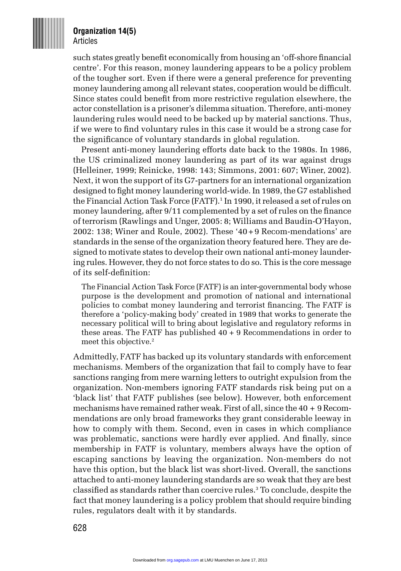

such states greatly benefit economically from housing an 'off-shore financial centre'. For this reason, money laundering appears to be a policy problem of the tougher sort. Even if there were a general preference for preventing money laundering among all relevant states, cooperation would be difficult. Since states could benefit from more restrictive regulation elsewhere, the actor constellation is a prisoner's dilemma situation. Therefore, anti-money laundering rules would need to be backed up by material sanctions. Thus, if we were to find voluntary rules in this case it would be a strong case for the significance of voluntary standards in global regulation.

Present anti-money laundering efforts date back to the 1980s. In 1986, the US criminalized money laundering as part of its war against drugs (Helleiner, 1999; Reinicke, 1998: 143; Simmons, 2001: 607; Winer, 2002). Next, it won the support of its G7-partners for an international organization designed to fight money laundering world-wide. In 1989, the G7 established the Financial Action Task Force (FATF).<sup>1</sup> In 1990, it released a set of rules on money laundering, after 9/11 complemented by a set of rules on the finance of terrorism (Rawlings and Unger, 2005: 8; Williams and Baudin-O'Hayon, 2002: 138; Winer and Roule, 2002). These '40 + 9 Recom-mendations' are standards in the sense of the organization theory featured here. They are designed to motivate states to develop their own national anti-money laundering rules. However, they do not force states to do so. This is the core message of its self-definition:

The Financial Action Task Force (FATF) is an inter-governmental body whose purpose is the development and promotion of national and international policies to combat money laundering and terrorist financing. The FATF is therefore a 'policy-making body' created in 1989 that works to generate the necessary political will to bring about legislative and regulatory reforms in these areas. The FATF has published 40 + 9 Recommendations in order to meet this objective.<sup>2</sup>

Admittedly, FATF has backed up its voluntary standards with enforcement mechanisms. Members of the organization that fail to comply have to fear sanctions ranging from mere warning letters to outright expulsion from the organization. Non-members ignoring FATF standards risk being put on a 'black list' that FATF publishes (see below). However, both enforcement mechanisms have remained rather weak. First of all, since the 40 + 9 Recommendations are only broad frameworks they grant considerable leeway in how to comply with them. Second, even in cases in which compliance was problematic, sanctions were hardly ever applied. And finally, since membership in FATF is voluntary, members always have the option of escaping sanctions by leaving the organization. Non-members do not have this option, but the black list was short-lived. Overall, the sanctions attached to anti-money laundering standards are so weak that they are best classified as standards rather than coercive rules.<sup>3</sup> To conclude, despite the fact that money laundering is a policy problem that should require binding rules, regulators dealt with it by standards.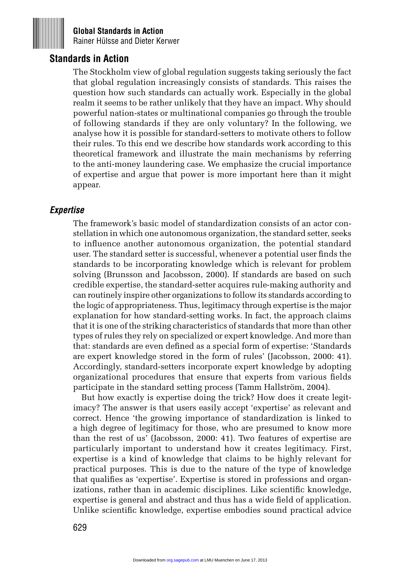

# **Global Standards in Action** Rainer Hülsse and Dieter Kerwer

# **Standards in Action**

The Stockholm view of global regulation suggests taking seriously the fact that global regulation increasingly consists of standards. This raises the question how such standards can actually work. Especially in the global realm it seems to be rather unlikely that they have an impact. Why should powerful nation-states or multinational companies go through the trouble of following standards if they are only voluntary? In the following, we analyse how it is possible for standard-setters to motivate others to follow their rules. To this end we describe how standards work according to this theoretical framework and illustrate the main mechanisms by referring to the anti-money laundering case. We emphasize the crucial importance of expertise and argue that power is more important here than it might appear.

# *Expertise*

The framework's basic model of standardization consists of an actor constellation in which one autonomous organization, the standard setter, seeks to influence another autonomous organization, the potential standard user. The standard setter is successful, whenever a potential user finds the standards to be incorporating knowledge which is relevant for problem solving (Brunsson and Jacobsson, 2000). If standards are based on such credible expertise, the standard-setter acquires rule-making authority and can routinely inspire other organizations to follow its standards according to the logic of appropriateness. Thus, legitimacy through expertise is the major explanation for how standard-setting works. In fact, the approach claims that it is one of the striking characteristics of standards that more than other types of rules they rely on specialized or expert knowledge. And more than that: standards are even defined as a special form of expertise: 'Standards are expert knowledge stored in the form of rules' (Jacobsson, 2000: 41). Accordingly, standard-setters incorporate expert knowledge by adopting organizational procedures that ensure that experts from various fields participate in the standard setting process (Tamm Hallström, 2004).

But how exactly is expertise doing the trick? How does it create legitimacy? The answer is that users easily accept 'expertise' as relevant and correct. Hence 'the growing importance of standardization is linked to a high degree of legitimacy for those, who are presumed to know more than the rest of us' (Jacobsson, 2000: 41). Two features of expertise are particularly important to understand how it creates legitimacy. First, expertise is a kind of knowledge that claims to be highly relevant for practical purposes. This is due to the nature of the type of knowledge that qualifies as 'expertise'. Expertise is stored in professions and organizations, rather than in academic disciplines. Like scientific knowledge, expertise is general and abstract and thus has a wide field of application. Unlike scientific knowledge, expertise embodies sound practical advice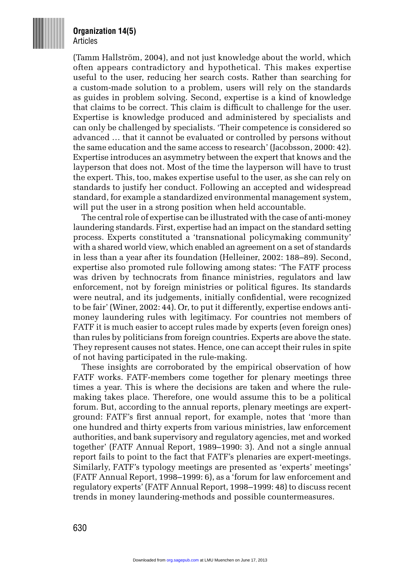

(Tamm Hallström, 2004), and not just knowledge about the world, which often appears contradictory and hypothetical. This makes expertise useful to the user, reducing her search costs. Rather than searching for a custom-made solution to a problem, users will rely on the standards as guides in problem solving. Second, expertise is a kind of knowledge that claims to be correct. This claim is difficult to challenge for the user. Expertise is knowledge produced and administered by specialists and can only be challenged by specialists. 'Their competence is considered so advanced … that it cannot be evaluated or controlled by persons without the same education and the same access to research' (Jacobsson, 2000: 42). Expertise introduces an asymmetry between the expert that knows and the layperson that does not. Most of the time the layperson will have to trust the expert. This, too, makes expertise useful to the user, as she can rely on standards to justify her conduct. Following an accepted and widespread standard, for example a standardized environmental management system, will put the user in a strong position when held accountable.

The central role of expertise can be illustrated with the case of anti-money laundering standards. First, expertise had an impact on the standard setting process. Experts constituted a 'transnational policymaking community' with a shared world view, which enabled an agreement on a set of standards in less than a year after its foundation (Helleiner, 2002: 188–89). Second, expertise also promoted rule following among states: 'The FATF process was driven by technocrats from finance ministries, regulators and law enforcement, not by foreign ministries or political figures. Its standards were neutral, and its judgements, initially confidential, were recognized to be fair' (Winer, 2002: 44). Or, to put it differently, expertise endows antimoney laundering rules with legitimacy. For countries not members of FATF it is much easier to accept rules made by experts (even foreign ones) than rules by politicians from foreign countries. Experts are above the state. They represent causes not states. Hence, one can accept their rules in spite of not having participated in the rule-making.

These insights are corroborated by the empirical observation of how FATF works. FATF-members come together for plenary meetings three times a year. This is where the decisions are taken and where the rulemaking takes place. Therefore, one would assume this to be a political forum. But, according to the annual reports, plenary meetings are expertground: FATF's first annual report, for example, notes that 'more than one hundred and thirty experts from various ministries, law enforcement authorities, and bank supervisory and regulatory agencies, met and worked together' (FATF Annual Report, 1989–1990: 3). And not a single annual report fails to point to the fact that FATF's plenaries are expert-meetings. Similarly, FATF's typology meetings are presented as 'experts' meetings' (FATF Annual Report, 1998–1999: 6), as a 'forum for law enforcement and regulatory experts' (FATF Annual Report, 1998–1999: 48) to discuss recent trends in money laundering-methods and possible countermeasures.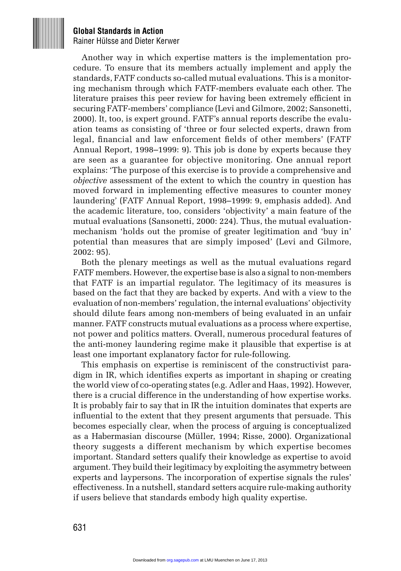

#### **Global Standards in Action** Rainer Hülsse and Dieter Kerwer

Another way in which expertise matters is the implementation procedure. To ensure that its members actually implement and apply the standards, FATF conducts so-called mutual evaluations. This is a monitoring mechanism through which FATF-members evaluate each other. The literature praises this peer review for having been extremely efficient in securing FATF-members' compliance (Levi and Gilmore, 2002; Sansonetti, 2000). It, too, is expert ground. FATF's annual reports describe the evaluation teams as consisting of 'three or four selected experts, drawn from legal, financial and law enforcement fields of other members' (FATF Annual Report, 1998–1999: 9). This job is done by experts because they are seen as a guarantee for objective monitoring. One annual report explains: 'The purpose of this exercise is to provide a comprehensive and *objective* assessment of the extent to which the country in question has moved forward in implementing effective measures to counter money laundering' (FATF Annual Report, 1998–1999: 9, emphasis added). And the academic literature, too, considers 'objectivity' a main feature of the mutual evaluations (Sansonetti, 2000: 224). Thus, the mutual evaluationmechanism 'holds out the promise of greater legitimation and 'buy in' potential than measures that are simply imposed' (Levi and Gilmore, 2002: 95).

Both the plenary meetings as well as the mutual evaluations regard FATF members. However, the expertise base is also a signal to non-members that FATF is an impartial regulator. The legitimacy of its measures is based on the fact that they are backed by experts. And with a view to the evaluation of non-members' regulation, the internal evaluations' objectivity should dilute fears among non-members of being evaluated in an unfair manner. FATF constructs mutual evaluations as a process where expertise, not power and politics matters. Overall, numerous procedural features of the anti-money laundering regime make it plausible that expertise is at least one important explanatory factor for rule-following.

This emphasis on expertise is reminiscent of the constructivist paradigm in IR, which identifies experts as important in shaping or creating the world view of co-operating states (e.g. Adler and Haas, 1992). However, there is a crucial difference in the understanding of how expertise works. It is probably fair to say that in IR the intuition dominates that experts are influential to the extent that they present arguments that persuade. This becomes especially clear, when the process of arguing is conceptualized as a Habermasian discourse (Müller, 1994; Risse, 2000). Organizational theory suggests a different mechanism by which expertise becomes important. Standard setters qualify their knowledge as expertise to avoid argument. They build their legitimacy by exploiting the asymmetry between experts and laypersons. The incorporation of expertise signals the rules' effectiveness. In a nutshell, standard setters acquire rule-making authority if users believe that standards embody high quality expertise.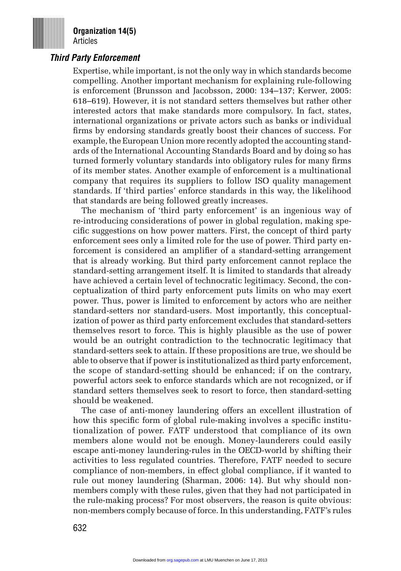

#### *Third Party Enforcement*

Expertise, while important, is not the only way in which standards become compelling. Another important mechanism for explaining rule-following is enforcement (Brunsson and Jacobsson, 2000: 134–137; Kerwer, 2005: 618–619). However, it is not standard setters themselves but rather other interested actors that make standards more compulsory. In fact, states, international organizations or private actors such as banks or individual firms by endorsing standards greatly boost their chances of success. For example, the European Union more recently adopted the accounting standards of the International Accounting Standards Board and by doing so has turned formerly voluntary standards into obligatory rules for many firms of its member states. Another example of enforcement is a multinational company that requires its suppliers to follow ISO quality management standards. If 'third parties' enforce standards in this way, the likelihood that standards are being followed greatly increases.

The mechanism of 'third party enforcement' is an ingenious way of re-introducing considerations of power in global regulation, making specific suggestions on how power matters. First, the concept of third party enforcement sees only a limited role for the use of power. Third party enforcement is considered an amplifier of a standard-setting arrangement that is already working. But third party enforcement cannot replace the standard-setting arrangement itself. It is limited to standards that already have achieved a certain level of technocratic legitimacy. Second, the conceptualization of third party enforcement puts limits on who may exert power. Thus, power is limited to enforcement by actors who are neither standard-setters nor standard-users. Most importantly, this conceptualization of power as third party enforcement excludes that standard-setters themselves resort to force. This is highly plausible as the use of power would be an outright contradiction to the technocratic legitimacy that standard-setters seek to attain. If these propositions are true, we should be able to observe that if power is institutionalized as third party enforcement, the scope of standard-setting should be enhanced; if on the contrary, powerful actors seek to enforce standards which are not recognized, or if standard setters themselves seek to resort to force, then standard-setting should be weakened.

The case of anti-money laundering offers an excellent illustration of how this specific form of global rule-making involves a specific institutionalization of power. FATF understood that compliance of its own members alone would not be enough. Money-launderers could easily escape anti-money laundering-rules in the OECD-world by shifting their activities to less regulated countries. Therefore, FATF needed to secure compliance of non-members, in effect global compliance, if it wanted to rule out money laundering (Sharman, 2006: 14). But why should nonmembers comply with these rules, given that they had not participated in the rule-making process? For most observers, the reason is quite obvious: non-members comply because of force. In this understanding, FATF's rules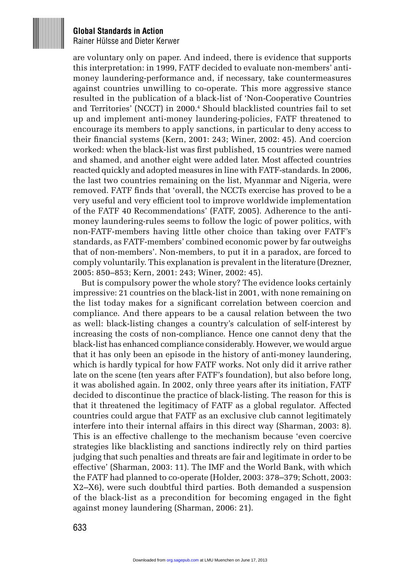

Rainer Hülsse and Dieter Kerwer

are voluntary only on paper. And indeed, there is evidence that supports this interpretation: in 1999, FATF decided to evaluate non-members' antimoney laundering-performance and, if necessary, take countermeasures against countries unwilling to co-operate. This more aggressive stance resulted in the publication of a black-list of 'Non-Cooperative Countries and Territories' (NCCT) in 2000.4 Should blacklisted countries fail to set up and implement anti-money laundering-policies, FATF threatened to encourage its members to apply sanctions, in particular to deny access to their financial systems (Kern, 2001: 243; Winer, 2002: 45). And coercion worked: when the black-list was first published, 15 countries were named and shamed, and another eight were added later. Most affected countries reacted quickly and adopted measures in line with FATF-standards. In 2006, the last two countries remaining on the list, Myanmar and Nigeria, were removed. FATF finds that 'overall, the NCCTs exercise has proved to be a very useful and very efficient tool to improve worldwide implementation of the FATF 40 Recommendations' (FATF, 2005). Adherence to the antimoney laundering-rules seems to follow the logic of power politics, with non-FATF-members having little other choice than taking over FATF's standards, as FATF-members' combined economic power by far outweighs that of non-members'. Non-members, to put it in a paradox, are forced to comply voluntarily. This explanation is prevalent in the literature (Drezner, 2005: 850–853; Kern, 2001: 243; Winer, 2002: 45).

But is compulsory power the whole story? The evidence looks certainly impressive: 21 countries on the black-list in 2001, with none remaining on the list today makes for a significant correlation between coercion and compliance. And there appears to be a causal relation between the two as well: black-listing changes a country's calculation of self-interest by increasing the costs of non-compliance. Hence one cannot deny that the black-list has enhanced compliance considerably. However, we would argue that it has only been an episode in the history of anti-money laundering, which is hardly typical for how FATF works. Not only did it arrive rather late on the scene (ten years after FATF's foundation), but also before long, it was abolished again. In 2002, only three years after its initiation, FATF decided to discontinue the practice of black-listing. The reason for this is that it threatened the legitimacy of FATF as a global regulator. Affected countries could argue that FATF as an exclusive club cannot legitimately interfere into their internal affairs in this direct way (Sharman, 2003: 8). This is an effective challenge to the mechanism because 'even coercive strategies like blacklisting and sanctions indirectly rely on third parties judging that such penalties and threats are fair and legitimate in order to be effective' (Sharman, 2003: 11). The IMF and the World Bank, with which the FATF had planned to co-operate (Holder, 2003: 378–379; Schott, 2003: X2–X6), were such doubtful third parties. Both demanded a suspension of the black-list as a precondition for becoming engaged in the fight against money laundering (Sharman, 2006: 21).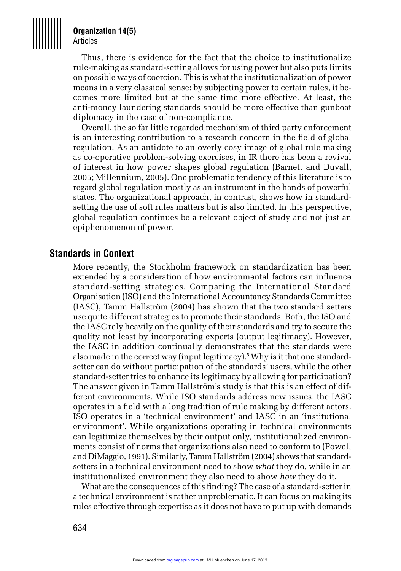

Thus, there is evidence for the fact that the choice to institutionalize rule-making as standard-setting allows for using power but also puts limits on possible ways of coercion. This is what the institutionalization of power means in a very classical sense: by subjecting power to certain rules, it becomes more limited but at the same time more effective. At least, the anti-money laundering standards should be more effective than gunboat diplomacy in the case of non-compliance.

Overall, the so far little regarded mechanism of third party enforcement is an interesting contribution to a research concern in the field of global regulation. As an antidote to an overly cosy image of global rule making as co-operative problem-solving exercises, in IR there has been a revival of interest in how power shapes global regulation (Barnett and Duvall, 2005; Millennium, 2005). One problematic tendency of this literature is to regard global regulation mostly as an instrument in the hands of powerful states. The organizational approach, in contrast, shows how in standardsetting the use of soft rules matters but is also limited. In this perspective, global regulation continues be a relevant object of study and not just an epiphenomenon of power.

# **Standards in Context**

More recently, the Stockholm framework on standardization has been extended by a consideration of how environmental factors can influence standard-setting strategies. Comparing the International Standard Organisation (ISO) and the International Accountancy Standards Committee (IASC), Tamm Hallström (2004) has shown that the two standard setters use quite different strategies to promote their standards. Both, the ISO and the IASC rely heavily on the quality of their standards and try to secure the quality not least by incorporating experts (output legitimacy). However, the IASC in addition continually demonstrates that the standards were also made in the correct way (input legitimacy).<sup>5</sup> Why is it that one standardsetter can do without participation of the standards' users, while the other standard-setter tries to enhance its legitimacy by allowing for participation? The answer given in Tamm Hallström's study is that this is an effect of different environments. While ISO standards address new issues, the IASC operates in a field with a long tradition of rule making by different actors. ISO operates in a 'technical environment' and IASC in an 'institutional environment'. While organizations operating in technical environments can legitimize themselves by their output only, institutionalized environments consist of norms that organizations also need to conform to (Powell and DiMaggio, 1991). Similarly, Tamm Hallström (2004) shows that standardsetters in a technical environment need to show *what* they do, while in an institutionalized environment they also need to show *how* they do it.

What are the consequences of this finding? The case of a standard-setter in a technical environment is rather unproblematic. It can focus on making its rules effective through expertise as it does not have to put up with demands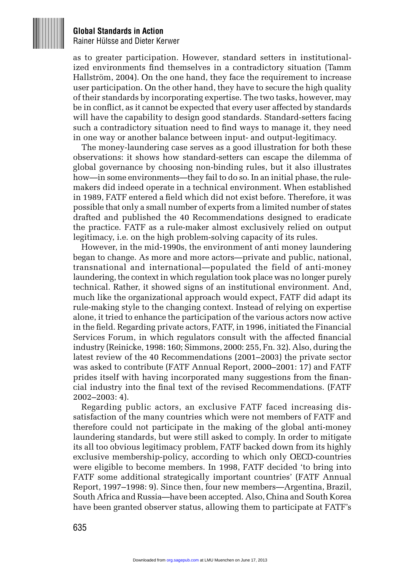

Rainer Hülsse and Dieter Kerwer

as to greater participation. However, standard setters in institutionalized environments find themselves in a contradictory situation (Tamm Hallström, 2004). On the one hand, they face the requirement to increase user participation. On the other hand, they have to secure the high quality of their standards by incorporating expertise. The two tasks, however, may be in conflict, as it cannot be expected that every user affected by standards will have the capability to design good standards. Standard-setters facing such a contradictory situation need to find ways to manage it, they need in one way or another balance between input- and output-legitimacy.

The money-laundering case serves as a good illustration for both these observations: it shows how standard-setters can escape the dilemma of global governance by choosing non-binding rules, but it also illustrates how—in some environments—they fail to do so. In an initial phase, the rulemakers did indeed operate in a technical environment. When established in 1989, FATF entered a field which did not exist before. Therefore, it was possible that only a small number of experts from a limited number of states drafted and published the 40 Recommendations designed to eradicate the practice. FATF as a rule-maker almost exclusively relied on output legitimacy, i.e. on the high problem-solving capacity of its rules.

However, in the mid-1990s, the environment of anti money laundering began to change. As more and more actors—private and public, national, transnational and international—populated the field of anti-money laundering, the context in which regulation took place was no longer purely technical. Rather, it showed signs of an institutional environment. And, much like the organizational approach would expect, FATF did adapt its rule-making style to the changing context. Instead of relying on expertise alone, it tried to enhance the participation of the various actors now active in the field. Regarding private actors, FATF, in 1996, initiated the Financial Services Forum, in which regulators consult with the affected financial industry (Reinicke, 1998: 160; Simmons, 2000: 255, Fn. 32). Also, during the latest review of the 40 Recommendations (2001–2003) the private sector was asked to contribute (FATF Annual Report, 2000–2001: 17) and FATF prides itself with having incorporated many suggestions from the financial industry into the final text of the revised Recommendations. (FATF 2002–2003: 4).

Regarding public actors, an exclusive FATF faced increasing dissatisfaction of the many countries which were not members of FATF and therefore could not participate in the making of the global anti-money laundering standards, but were still asked to comply. In order to mitigate its all too obvious legitimacy problem, FATF backed down from its highly exclusive membership-policy, according to which only OECD-countries were eligible to become members. In 1998, FATF decided 'to bring into FATF some additional strategically important countries' (FATF Annual Report, 1997–1998: 9). Since then, four new members—Argentina, Brazil, South Africa and Russia—have been accepted. Also, China and South Korea have been granted observer status, allowing them to participate at FATF's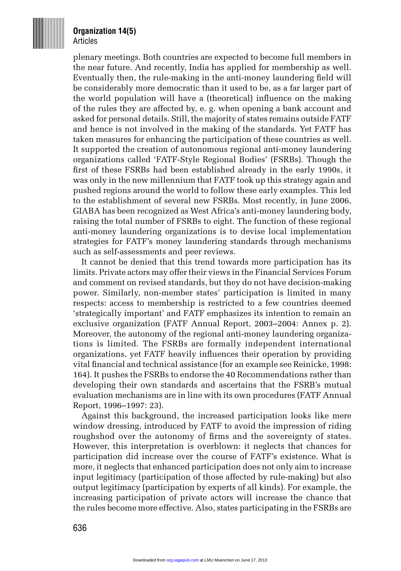

plenary meetings. Both countries are expected to become full members in the near future. And recently, India has applied for membership as well. Eventually then, the rule-making in the anti-money laundering field will be considerably more democratic than it used to be, as a far larger part of the world population will have a (theoretical) influence on the making of the rules they are affected by, e. g. when opening a bank account and asked for personal details. Still, the majority of states remains outside FATF and hence is not involved in the making of the standards. Yet FATF has taken measures for enhancing the participation of these countries as well. It supported the creation of autonomous regional anti-money laundering organizations called 'FATF-Style Regional Bodies' (FSRBs). Though the first of these FSRBs had been established already in the early 1990s, it was only in the new millennium that FATF took up this strategy again and pushed regions around the world to follow these early examples. This led to the establishment of several new FSRBs. Most recently, in June 2006, GIABA has been recognized as West Africa's anti-money laundering body, raising the total number of FSRBs to eight. The function of these regional anti-money laundering organizations is to devise local implementation strategies for FATF's money laundering standards through mechanisms such as self-assessments and peer reviews.

It cannot be denied that this trend towards more participation has its limits. Private actors may offer their views in the Financial Services Forum and comment on revised standards, but they do not have decision-making power. Similarly, non-member states' participation is limited in many respects: access to membership is restricted to a few countries deemed 'strategically important' and FATF emphasizes its intention to remain an exclusive organization (FATF Annual Report, 2003–2004: Annex p. 2). Moreover, the autonomy of the regional anti-money laundering organizations is limited. The FSRBs are formally independent international organizations, yet FATF heavily influences their operation by providing vital financial and technical assistance (for an example see Reinicke, 1998: 164). It pushes the FSRBs to endorse the 40 Recommendations rather than developing their own standards and ascertains that the FSRB's mutual evaluation mechanisms are in line with its own procedures (FATF Annual Report, 1996–1997: 23).

Against this background, the increased participation looks like mere window dressing, introduced by FATF to avoid the impression of riding roughshod over the autonomy of firms and the sovereignty of states. However, this interpretation is overblown: it neglects that chances for participation did increase over the course of FATF's existence. What is more, it neglects that enhanced participation does not only aim to increase input legitimacy (participation of those affected by rule-making) but also output legitimacy (participation by experts of all kinds). For example, the increasing participation of private actors will increase the chance that the rules become more effective. Also, states participating in the FSRBs are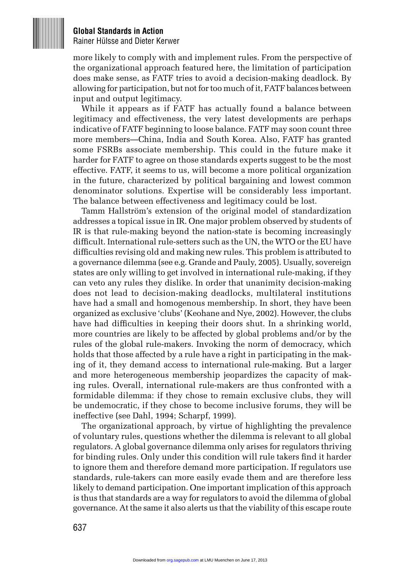

Rainer Hülsse and Dieter Kerwer

more likely to comply with and implement rules. From the perspective of the organizational approach featured here, the limitation of participation does make sense, as FATF tries to avoid a decision-making deadlock. By allowing for participation, but not for too much of it, FATF balances between input and output legitimacy.

While it appears as if FATF has actually found a balance between legitimacy and effectiveness, the very latest developments are perhaps indicative of FATF beginning to loose balance. FATF may soon count three more members—China, India and South Korea. Also, FATF has granted some FSRBs associate membership. This could in the future make it harder for FATF to agree on those standards experts suggest to be the most effective. FATF, it seems to us, will become a more political organization in the future, characterized by political bargaining and lowest common denominator solutions. Expertise will be considerably less important. The balance between effectiveness and legitimacy could be lost.

Tamm Hallström's extension of the original model of standardization addresses a topical issue in IR. One major problem observed by students of IR is that rule-making beyond the nation-state is becoming increasingly difficult. International rule-setters such as the UN, the WTO or the EU have difficulties revising old and making new rules. This problem is attributed to a governance dilemma (see e.g. Grande and Pauly, 2005). Usually, sovereign states are only willing to get involved in international rule-making, if they can veto any rules they dislike. In order that unanimity decision-making does not lead to decision-making deadlocks, multilateral institutions have had a small and homogenous membership. In short, they have been organized as exclusive 'clubs' (Keohane and Nye, 2002). However, the clubs have had difficulties in keeping their doors shut. In a shrinking world, more countries are likely to be affected by global problems and/or by the rules of the global rule-makers. Invoking the norm of democracy, which holds that those affected by a rule have a right in participating in the making of it, they demand access to international rule-making. But a larger and more heterogeneous membership jeopardizes the capacity of making rules. Overall, international rule-makers are thus confronted with a formidable dilemma: if they chose to remain exclusive clubs, they will be undemocratic, if they chose to become inclusive forums, they will be ineffective (see Dahl, 1994; Scharpf, 1999).

The organizational approach, by virtue of highlighting the prevalence of voluntary rules, questions whether the dilemma is relevant to all global regulators. A global governance dilemma only arises for regulators thriving for binding rules. Only under this condition will rule takers find it harder to ignore them and therefore demand more participation. If regulators use standards, rule-takers can more easily evade them and are therefore less likely to demand participation. One important implication of this approach is thus that standards are a way for regulators to avoid the dilemma of global governance. At the same it also alerts us that the viability of this escape route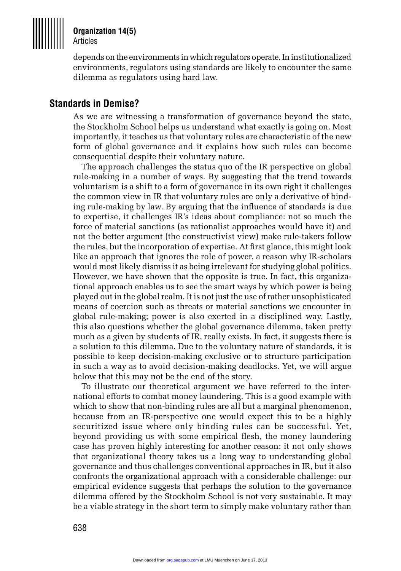

depends on the environments in which regulators operate. In institutionalized environments, regulators using standards are likely to encounter the same dilemma as regulators using hard law.

# **Standards in Demise?**

As we are witnessing a transformation of governance beyond the state, the Stockholm School helps us understand what exactly is going on. Most importantly, it teaches us that voluntary rules are characteristic of the new form of global governance and it explains how such rules can become consequential despite their voluntary nature.

The approach challenges the status quo of the IR perspective on global rule-making in a number of ways. By suggesting that the trend towards voluntarism is a shift to a form of governance in its own right it challenges the common view in IR that voluntary rules are only a derivative of binding rule-making by law. By arguing that the influence of standards is due to expertise, it challenges IR's ideas about compliance: not so much the force of material sanctions (as rationalist approaches would have it) and not the better argument (the constructivist view) make rule-takers follow the rules, but the incorporation of expertise. At first glance, this might look like an approach that ignores the role of power, a reason why IR-scholars would most likely dismiss it as being irrelevant for studying global politics. However, we have shown that the opposite is true. In fact, this organizational approach enables us to see the smart ways by which power is being played out in the global realm. It is not just the use of rather unsophisticated means of coercion such as threats or material sanctions we encounter in global rule-making; power is also exerted in a disciplined way. Lastly, this also questions whether the global governance dilemma, taken pretty much as a given by students of IR, really exists. In fact, it suggests there is a solution to this dilemma. Due to the voluntary nature of standards, it is possible to keep decision-making exclusive or to structure participation in such a way as to avoid decision-making deadlocks. Yet, we will argue below that this may not be the end of the story.

To illustrate our theoretical argument we have referred to the international efforts to combat money laundering. This is a good example with which to show that non-binding rules are all but a marginal phenomenon, because from an IR-perspective one would expect this to be a highly securitized issue where only binding rules can be successful. Yet, beyond providing us with some empirical flesh, the money laundering case has proven highly interesting for another reason: it not only shows that organizational theory takes us a long way to understanding global governance and thus challenges conventional approaches in IR, but it also confronts the organizational approach with a considerable challenge: our empirical evidence suggests that perhaps the solution to the governance dilemma offered by the Stockholm School is not very sustainable. It may be a viable strategy in the short term to simply make voluntary rather than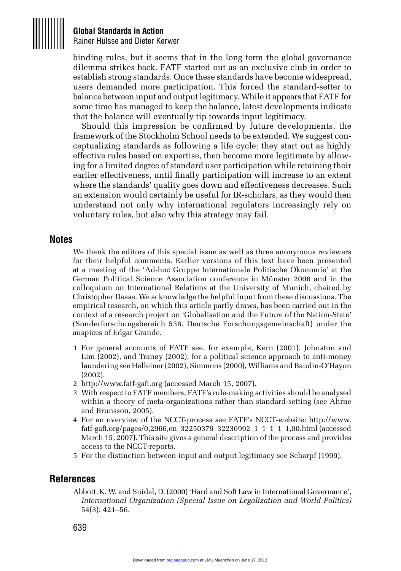

Rainer Hülsse and Dieter Kerwer

binding rules, but it seems that in the long term the global governance dilemma strikes back. FATF started out as an exclusive club in order to establish strong standards. Once these standards have become widespread, users demanded more participation. This forced the standard-setter to balance between input and output legitimacy. While it appears that FATF for some time has managed to keep the balance, latest developments indicate that the balance will eventually tip towards input legitimacy.

Should this impression be confirmed by future developments, the framework of the Stockholm School needs to be extended. We suggest conceptualizing standards as following a life cycle: they start out as highly effective rules based on expertise, then become more legitimate by allowing for a limited degree of standard user participation while retaining their earlier effectiveness, until finally participation will increase to an extent where the standards' quality goes down and effectiveness decreases. Such an extension would certainly be useful for IR-scholars, as they would then understand not only why international regulators increasingly rely on voluntary rules, but also why this strategy may fail.

#### **Notes**

We thank the editors of this special issue as well as three anonymous reviewers for their helpful comments. Earlier versions of this text have been presented at a meeting of the 'Ad-hoc Gruppe Internationale Politische Ökonomie' at the German Political Science Association conference in Münster 2006 and in the colloquium on International Relations at the University of Munich, chaired by Christopher Daase. We acknowledge the helpful input from these discussions. The empirical research, on which this article partly draws, has been carried out in the context of a research project on 'Globalisation and the Future of the Nation-State' (Sonderforschungsbereich 536, Deutsche Forschungsgemeinschaft) under the auspices of Edgar Grande.

- 1 For general accounts of FATF see, for example, Kern (2001), Johnston and Lim (2002), and Tranøy (2002); for a political science approach to anti-money laundering see Helleiner (2002), Simmons (2000), Williams and Baudin-O'Hayon (2002).
- 2 http://www.fatf-gafi .org (accessed March 15, 2007).
- 3 With respect to FATF members, FATF's rule-making activities should be analysed within a theory of meta-organizations rather than standard-setting (see Ahrne and Brunsson, 2005).
- 4 For an overview of the NCCT-process see FATF's NCCT-website: http://www. fatf-gafi .org/pages/0,2966,en\_32250379\_32236992\_1\_1\_1\_1\_1,00.html (accessed March 15, 2007). This site gives a general description of the process and provides access to the NCCT-reports.
- 5 For the distinction between input and output legitimacy see Scharpf (1999).

### **References**

Abbott, K. W. and Snidal, D. (2000) 'Hard and Soft Law in International Governance', *International Organization (Special Issue on Legalization and World Politics)*  54(3): 421–56.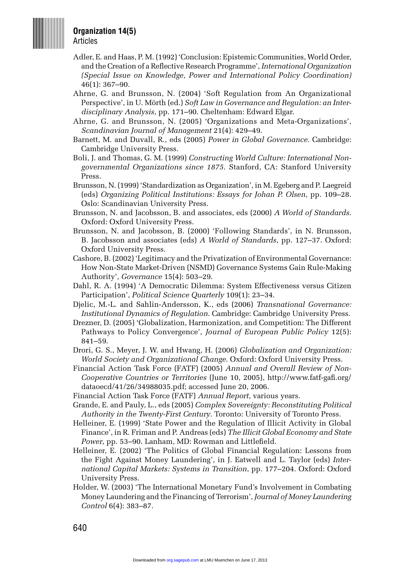

- Adler, E. and Haas, P. M. (1992) 'Conclusion: Epistemic Communities, World Order, and the Creation of a Reflective Research Programme', *International Organization (Special Issue on Knowledge, Power and International Policy Coordination)*  46(1): 367–90.
- Ahrne, G. and Brunsson, N. (2004) 'Soft Regulation from An Organizational Perspective', in U. Mörth (ed.) *Soft Law in Governance and Regulation: an Interdisciplinary Analysis*, pp. 171–90. Cheltenham: Edward Elgar.
- Ahrne, G. and Brunsson, N. (2005) 'Organizations and Meta-Organizations', *Scandinavian Journal of Management* 21(4): 429–49.
- Barnett, M. and Duvall, R., eds (2005) *Power in Global Governance.* Cambridge: Cambridge University Press.
- Boli, J. and Thomas, G. M. (1999) *Constructing World Culture: International Nongovernmental Organizations since 1875*. Stanford, CA: Stanford University Press.
- Brunsson, N. (1999) 'Standardization as Organization', in M. Egeberg and P. Laegreid (eds) *Organizing Political Institutions: Essays for Johan P. Olsen*, pp. 109–28. Oslo: Scandinavian University Press.
- Brunsson, N. and Jacobsson, B. and associates, eds (2000) *A World of Standards*. Oxford: Oxford University Press.
- Brunsson, N. and Jacobsson, B. (2000) 'Following Standards', in N. Brunsson, B. Jacobsson and associates (eds) *A World of Standards*, pp. 127–37. Oxford: Oxford University Press.
- Cashore, B. (2002) 'Legitimacy and the Privatization of Environmental Governance: How Non-State Market-Driven (NSMD) Governance Systems Gain Rule-Making Authority', *Governance* 15(4): 503–29.
- Dahl, R. A. (1994) 'A Democratic Dilemma: System Effectiveness versus Citizen Participation', *Political Science Quarterly* 109(1): 23–34.
- Djelic, M.-L. and Sahlin-Andersson, K., eds (2006) *Transnational Governance: Institutional Dynamics of Regulation*. Cambridge: Cambridge University Press.
- Drezner, D. (2005) 'Globalization, Harmonization, and Competition: The Different Pathways to Policy Convergence', *Journal of European Public Policy* 12(5): 841–59.
- Drori, G. S., Meyer, J. W. and Hwang, H. (2006) *Globalization and Organization: World Society and Organizational Change*. Oxford: Oxford University Press.
- Financial Action Task Force (FATF) (2005) *Annual and Overall Review of Non-Cooperative Countries or Territories* (June 10, 2005), http://www.fatf-gafi .org/ dataoecd/41/26/34988035.pdf; accessed June 20, 2006.
- Financial Action Task Force (FATF) *Annual Report*, various years.
- Grande, E. and Pauly, L., eds (2005) *Complex Sovereignty: Reconstituting Political Authority in the Twenty-First Century*. Toronto: University of Toronto Press.
- Helleiner, E. (1999) 'State Power and the Regulation of Illicit Activity in Global Finance', in R. Friman and P. Andreas (eds) *The Illicit Global Economy and State Power*, pp. 53–90. Lanham, MD: Rowman and Littlefield.
- Helleiner, E. (2002) 'The Politics of Global Financial Regulation: Lessons from the Fight Against Money Laundering', in J. Eatwell and L. Taylor (eds) *International Capital Markets: Systems in Transition*, pp. 177–204. Oxford: Oxford University Press.
- Holder, W. (2003) 'The International Monetary Fund's Involvement in Combating Money Laundering and the Financing of Terrorism', *Journal of Money Laundering Control* 6(4): 383–87.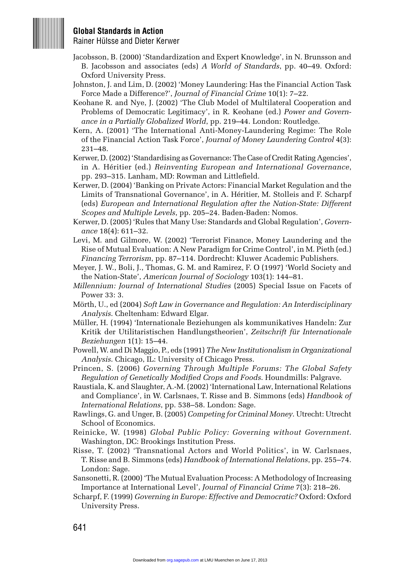

Rainer Hülsse and Dieter Kerwer

- Jacobsson, B. (2000) 'Standardization and Expert Knowledge', in N. Brunsson and B. Jacobsson and associates (eds) *A World of Standards*, pp. 40–49. Oxford: Oxford University Press.
- Johnston, J. and Lim, D. (2002) 'Money Laundering: Has the Financial Action Task Force Made a Difference?', *Journal of Financial Crime* 10(1): 7–22.
- Keohane R. and Nye, J. (2002) 'The Club Model of Multilateral Cooperation and Problems of Democratic Legitimacy', in R. Keohane (ed.) *Power and Governance in a Partially Globalized World*, pp. 219–44. London: Routledge.
- Kern, A. (2001) 'The International Anti-Money-Laundering Regime: The Role of the Financial Action Task Force', *Journal of Money Laundering Control* 4(3): 231–48.
- Kerwer, D. (2002) 'Standardising as Governance: The Case of Credit Rating Agencies', in A. Héritier (ed.) *Reinventing European and International Governance*, pp. 293-315. Lanham, MD: Rowman and Littlefield.
- Kerwer, D. (2004) 'Banking on Private Actors: Financial Market Regulation and the Limits of Transnational Governance', in A. Héritier, M. Stolleis and F. Scharpf (eds) *European and International Regulation after the Nation-State: Different Scopes and Multiple Levels*, pp. 205–24. Baden-Baden: Nomos.
- Kerwer, D. (2005) 'Rules that Many Use: Standards and Global Regulation', *Governance* 18(4): 611–32.
- Levi, M. and Gilmore, W. (2002) 'Terrorist Finance, Money Laundering and the Rise of Mutual Evaluation: A New Paradigm for Crime Control', in M. Pieth (ed.) *Financing Terrorism*, pp. 87–114. Dordrecht: Kluwer Academic Publishers.
- Meyer, J. W., Boli, J., Thomas, G. M. and Ramirez, F. O (1997) 'World Society and the Nation-State', *American Journal of Sociology* 103(1): 144–81.
- *Millennium: Journal of International Studies* (2005) Special Issue on Facets of Power 33: 3.
- Mörth, U., ed (2004) *Soft Law in Governance and Regulation: An Interdisciplinary Analysis*. Cheltenham: Edward Elgar.
- Müller, H. (1994) 'Internationale Beziehungen als kommunikatives Handeln: Zur Kritik der Utilitaristischen Handlungstheorien', *Zeitschrift für Internationale Beziehungen* 1(1): 15–44.
- Powell, W. and Di Maggio, P., eds (1991) *The New Institutionalism in Organizational Analysis*. Chicago, IL: University of Chicago Press.
- Princen, S. (2006) *Governing Through Multiple Forums: The Global Safety Regulation of Genetically Modifi ed Crops and Foods*. Houndmills: Palgrave.
- Raustiala, K. and Slaughter, A.-M. (2002) 'International Law, International Relations and Compliance', in W. Carlsnaes, T. Risse and B. Simmons (eds) *Handbook of International Relations*, pp. 538–58. London: Sage.
- Rawlings, G. and Unger, B. (2005) *Competing for Criminal Money*. Utrecht: Utrecht School of Economics.
- Reinicke, W. (1998) *Global Public Policy: Governing without Government*. Washington, DC: Brookings Institution Press.
- Risse, T. (2002) 'Transnational Actors and World Politics', in W. Carlsnaes, T. Risse and B. Simmons (eds) *Handbook of International Relations*, pp. 255–74. London: Sage.
- Sansonetti, R. (2000) 'The Mutual Evaluation Process: A Methodology of Increasing Importance at International Level', *Journal of Financial Crime* 7(3): 218–26.
- Scharpf, F. (1999) *Governing in Europe: Effective and Democratic?* Oxford: Oxford University Press.